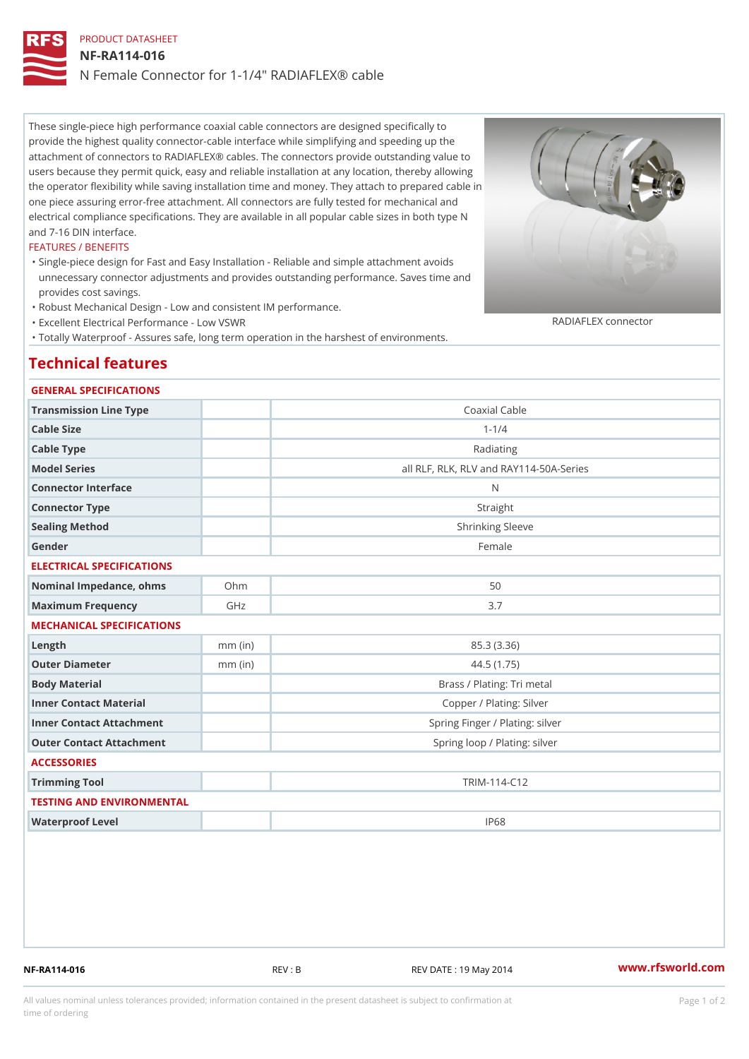## PRODUCT DATASHEET NF-RA114-016 N Female Connector for 1-1/4" RADIAFLEX® cable

These single-piece high performance coaxial cable connectors are designed specifically to provide the highest quality connector-cable interface while simplifying and speeding up the attachment of connectors to RADIAFLEX® cables. The connectors provide outstanding value to users because they permit quick, easy and reliable installation at any location, thereby allowing the operator flexibility while saving installation time and money. They attach to prepared cable in one piece assuring error-free attachment. All connectors are fully tested for mechanical and electrical compliance specifications. They are available in all popular cable sizes in both type N and 7-16 DIN interface.

### FEATURES / BENEFITS

- Single-piece design for Fast and Easy Installation Reliable and simple attachment avoids " unnecessary connector adjustments and provides outstanding performance. Saves time and provides cost savings.
- "Robust Mechanical Design Low and consistent IM performance.
- "Excellent Electrical Performance Low VSWR
- "Totally Waterproof Assures safe, long term operation in the harshest of environments.

## Technical features

#### GENERAL SPECIFICATIONS

| Transmission Line Type       |           | Coaxial Cable                           |
|------------------------------|-----------|-----------------------------------------|
| Cable Size                   |           | $1 - 1/4$                               |
| Cable Type                   |           | Radiating                               |
| Model Series                 |           | all RLF, RLK, RLV and RAY114-50A-Series |
| Connector Interface          |           | $\mathsf{N}$                            |
| Connector Type               |           | Straight                                |
| Sealing Method               |           | Shrinking Sleeve                        |
| Gender                       |           | Female                                  |
| ELECTRICAL SPECIFICATIONS    |           |                                         |
| Nominal Impedance, ohins Ohm |           | 50                                      |
| Maximum Frequency            | GHz       | 3.7                                     |
| MECHANICAL SPECIFICATIONS    |           |                                         |
| $L$ ength                    | $mm$ (in) | 85.3 (3.36)                             |
| Outer Diameter               | $mm$ (in) | 44.5 (1.75)                             |
| Body Material                |           | Brass / Plating: Tri metal              |
| Inner Contact Material       |           | Copper / Plating: Silver                |
| Inner Contact Attachment     |           | Spring Finger / Plating: silver         |
| Outer Contact Attachment     |           | Spring loop / Plating: silver           |
| <b>ACCESSORIES</b>           |           |                                         |
| Trimming Tool                |           | TRIM-114-C12                            |
| TESTING AND ENVIRONMENTAL    |           |                                         |
| Waterproof Level             |           | IP68                                    |
|                              |           |                                         |

NF-RA114-016 REV : B REV DATE : 19 May 2014 [www.](https://www.rfsworld.com)rfsworld.com

RADIAFLEX connector

All values nominal unless tolerances provided; information contained in the present datasheet is subject to Pcapgeign manation time of ordering